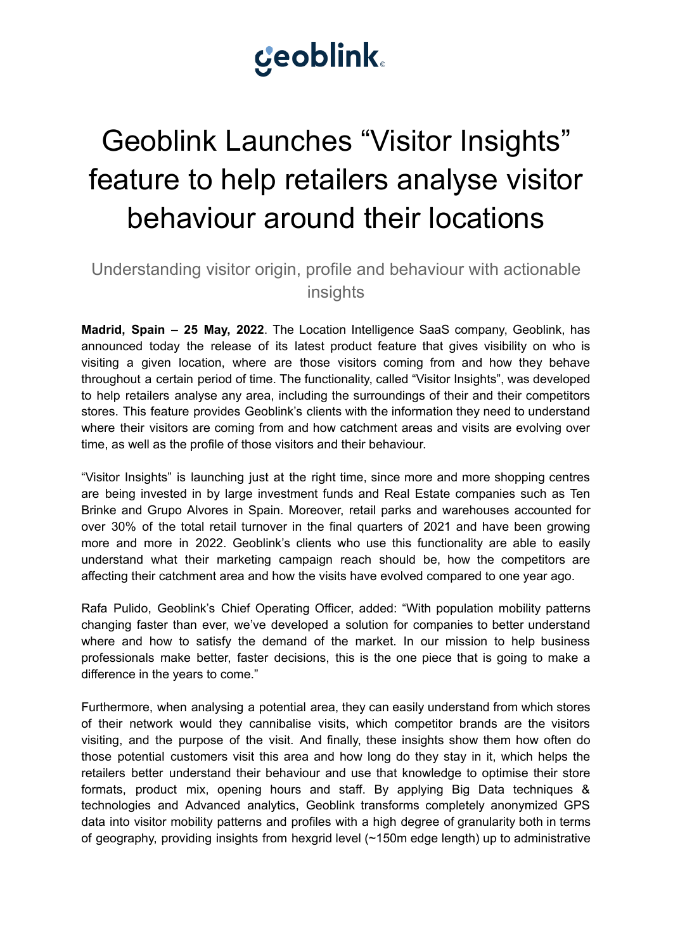# **Ceoblink**

## Geoblink Launches "Visitor Insights" feature to help retailers analyse visitor behaviour around their locations

## Understanding visitor origin, profile and behaviour with actionable insights

**Madrid, Spain – 25 May, 2022**. The Location Intelligence SaaS company, Geoblink, has announced today the release of its latest product feature that gives visibility on who is visiting a given location, where are those visitors coming from and how they behave throughout a certain period of time. The functionality, called "Visitor Insights", was developed to help retailers analyse any area, including the surroundings of their and their competitors stores. This feature provides Geoblink's clients with the information they need to understand where their visitors are coming from and how catchment areas and visits are evolving over time, as well as the profile of those visitors and their behaviour.

"Visitor Insights" is launching just at the right time, since more and more shopping centres are being invested in by large investment funds and Real Estate companies such as Ten Brinke and Grupo Alvores in Spain. Moreover, retail parks and warehouses accounted for over 30% of the total retail turnover in the final quarters of 2021 and have been growing more and more in 2022. Geoblink's clients who use this functionality are able to easily understand what their marketing campaign reach should be, how the competitors are affecting their catchment area and how the visits have evolved compared to one year ago.

Rafa Pulido, Geoblink's Chief Operating Officer, added: "With population mobility patterns changing faster than ever, we've developed a solution for companies to better understand where and how to satisfy the demand of the market. In our mission to help business professionals make better, faster decisions, this is the one piece that is going to make a difference in the years to come."

Furthermore, when analysing a potential area, they can easily understand from which stores of their network would they cannibalise visits, which competitor brands are the visitors visiting, and the purpose of the visit. And finally, these insights show them how often do those potential customers visit this area and how long do they stay in it, which helps the retailers better understand their behaviour and use that knowledge to optimise their store formats, product mix, opening hours and staff. By applying Big Data techniques & technologies and Advanced analytics, Geoblink transforms completely anonymized GPS data into visitor mobility patterns and profiles with a high degree of granularity both in terms of geography, providing insights from hexgrid level (~150m edge length) up to administrative